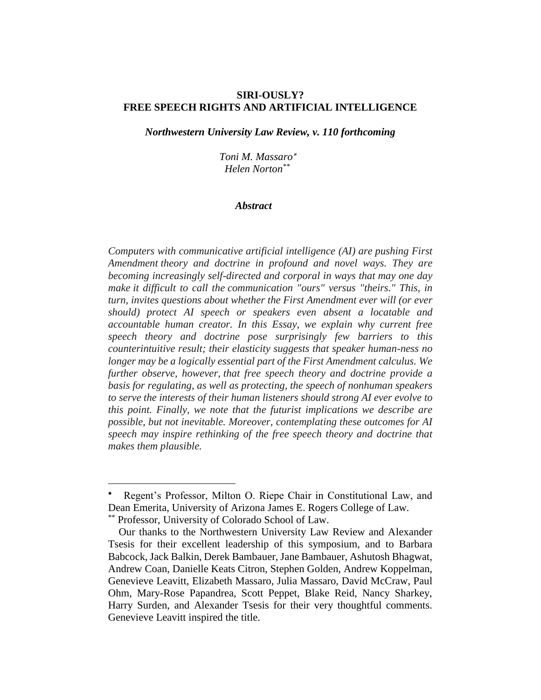### **SIRI-OUSLY? FREE SPEECH RIGHTS AND ARTIFICIAL INTELLIGENCE**

*Northwestern University Law Review, v. 110 forthcoming*

 *Toni M. Massaro Helen Norton\*\**

#### *Abstract*

*Computers with communicative artificial intelligence (AI) are pushing First Amendment theory and doctrine in profound and novel ways. They are becoming increasingly self-directed and corporal in ways that may one day make it difficult to call the communication "ours" versus "theirs." This, in turn, invites questions about whether the First Amendment ever will (or ever should) protect AI speech or speakers even absent a locatable and accountable human creator. In this Essay, we explain why current free speech theory and doctrine pose surprisingly few barriers to this counterintuitive result; their elasticity suggests that speaker human-ness no longer may be a logically essential part of the First Amendment calculus. We further observe, however, that free speech theory and doctrine provide a basis for regulating, as well as protecting, the speech of nonhuman speakers to serve the interests of their human listeners should strong AI ever evolve to this point. Finally, we note that the futurist implications we describe are possible, but not inevitable. Moreover, contemplating these outcomes for AI speech may inspire rethinking of the free speech theory and doctrine that makes them plausible.*

<sup>\*</sup>  Regent's Professor, Milton O. Riepe Chair in Constitutional Law, and Dean Emerita, University of Arizona James E. Rogers College of Law.

<sup>\*\*</sup> Professor, University of Colorado School of Law.

Our thanks to the Northwestern University Law Review and Alexander Tsesis for their excellent leadership of this symposium, and to Barbara Babcock, Jack Balkin, Derek Bambauer, Jane Bambauer, Ashutosh Bhagwat, Andrew Coan, Danielle Keats Citron, Stephen Golden, Andrew Koppelman, Genevieve Leavitt, Elizabeth Massaro, Julia Massaro, David McCraw, Paul Ohm, Mary-Rose Papandrea, Scott Peppet, Blake Reid, Nancy Sharkey, Harry Surden, and Alexander Tsesis for their very thoughtful comments. Genevieve Leavitt inspired the title.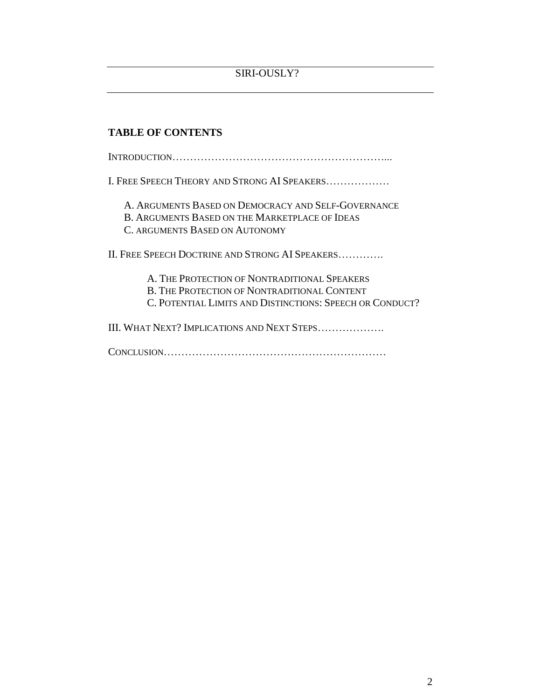# **TABLE OF CONTENTS**

INTRODUCTION……………………………………………………...

I. FREE SPEECH THEORY AND STRONG AI SPEAKERS………………

A. ARGUMENTS BASED ON DEMOCRACY AND SELF-GOVERNANCE B. ARGUMENTS BASED ON THE MARKETPLACE OF IDEAS

C. ARGUMENTS BASED ON AUTONOMY

II. FREE SPEECH DOCTRINE AND STRONG AI SPEAKERS………….

A. THE PROTECTION OF NONTRADITIONAL SPEAKERS B. THE PROTECTION OF NONTRADITIONAL CONTENT C. POTENTIAL LIMITS AND DISTINCTIONS: SPEECH OR CONDUCT?

III. WHAT NEXT? IMPLICATIONS AND NEXT STEPS……………….

CONCLUSION………………………………………………………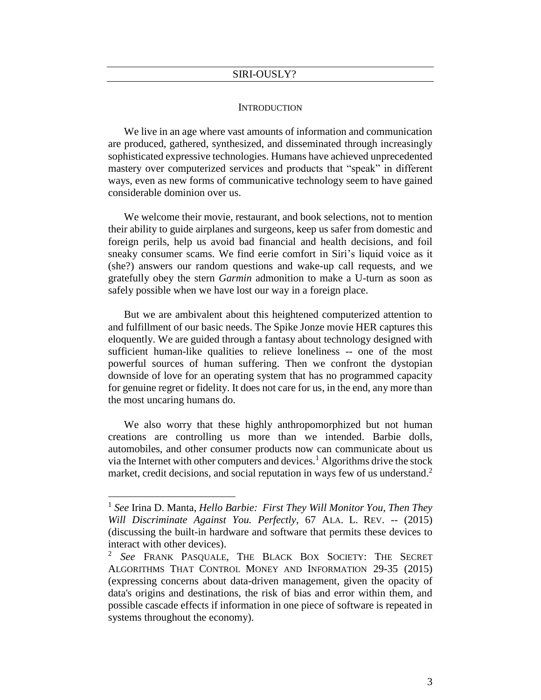#### **INTRODUCTION**

We live in an age where vast amounts of information and communication are produced, gathered, synthesized, and disseminated through increasingly sophisticated expressive technologies. Humans have achieved unprecedented mastery over computerized services and products that "speak" in different ways, even as new forms of communicative technology seem to have gained considerable dominion over us.

We welcome their movie, restaurant, and book selections, not to mention their ability to guide airplanes and surgeons, keep us safer from domestic and foreign perils, help us avoid bad financial and health decisions, and foil sneaky consumer scams. We find eerie comfort in Siri's liquid voice as it (she?) answers our random questions and wake-up call requests, and we gratefully obey the stern *Garmin* admonition to make a U-turn as soon as safely possible when we have lost our way in a foreign place.

But we are ambivalent about this heightened computerized attention to and fulfillment of our basic needs. The Spike Jonze movie HER captures this eloquently. We are guided through a fantasy about technology designed with sufficient human-like qualities to relieve loneliness -- one of the most powerful sources of human suffering. Then we confront the dystopian downside of love for an operating system that has no programmed capacity for genuine regret or fidelity. It does not care for us, in the end, any more than the most uncaring humans do.

We also worry that these highly anthropomorphized but not human creations are controlling us more than we intended. Barbie dolls, automobiles, and other consumer products now can communicate about us via the Internet with other computers and devices.<sup>1</sup> Algorithms drive the stock market, credit decisions, and social reputation in ways few of us understand.<sup>2</sup>

<sup>&</sup>lt;sup>1</sup> See Irina D. Manta, *Hello Barbie: First They Will Monitor You, Then They Will Discriminate Against You. Perfectly*, 67 ALA. L. REV. -- (2015) (discussing the built-in hardware and software that permits these devices to interact with other devices).

<sup>2</sup> *See* FRANK PASQUALE, THE BLACK BOX SOCIETY: THE SECRET ALGORITHMS THAT CONTROL MONEY AND INFORMATION 29-35 (2015) (expressing concerns about data-driven management, given the opacity of data's origins and destinations, the risk of bias and error within them, and possible cascade effects if information in one piece of software is repeated in systems throughout the economy).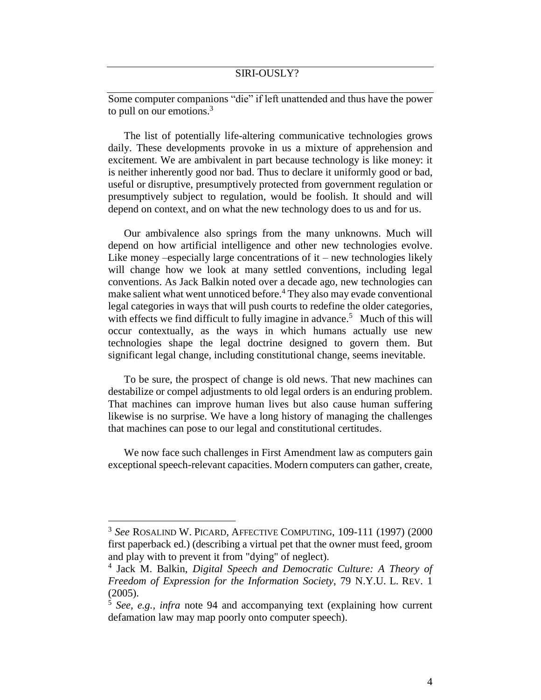Some computer companions "die" if left unattended and thus have the power to pull on our emotions. 3

The list of potentially life-altering communicative technologies grows daily. These developments provoke in us a mixture of apprehension and excitement. We are ambivalent in part because technology is like money: it is neither inherently good nor bad. Thus to declare it uniformly good or bad, useful or disruptive, presumptively protected from government regulation or presumptively subject to regulation, would be foolish. It should and will depend on context, and on what the new technology does to us and for us.

Our ambivalence also springs from the many unknowns. Much will depend on how artificial intelligence and other new technologies evolve. Like money –especially large concentrations of  $it$  – new technologies likely will change how we look at many settled conventions, including legal conventions. As Jack Balkin noted over a decade ago, new technologies can make salient what went unnoticed before.<sup>4</sup> They also may evade conventional legal categories in ways that will push courts to redefine the older categories, with effects we find difficult to fully imagine in advance.<sup>5</sup> Much of this will occur contextually, as the ways in which humans actually use new technologies shape the legal doctrine designed to govern them. But significant legal change, including constitutional change, seems inevitable.

To be sure, the prospect of change is old news. That new machines can destabilize or compel adjustments to old legal orders is an enduring problem. That machines can improve human lives but also cause human suffering likewise is no surprise. We have a long history of managing the challenges that machines can pose to our legal and constitutional certitudes.

We now face such challenges in First Amendment law as computers gain exceptional speech-relevant capacities. Modern computers can gather, create,

<sup>3</sup> *See* ROSALIND W. PICARD, AFFECTIVE COMPUTING, 109-111 (1997) (2000 first paperback ed.) (describing a virtual pet that the owner must feed, groom and play with to prevent it from "dying" of neglect).

<sup>4</sup> Jack M. Balkin, *Digital Speech and Democratic Culture: A Theory of Freedom of Expression for the Information Society*, 79 N.Y.U. L. REV. 1 (2005).

<sup>5</sup> *See, e.g., infra* note 94 and accompanying text (explaining how current defamation law may map poorly onto computer speech).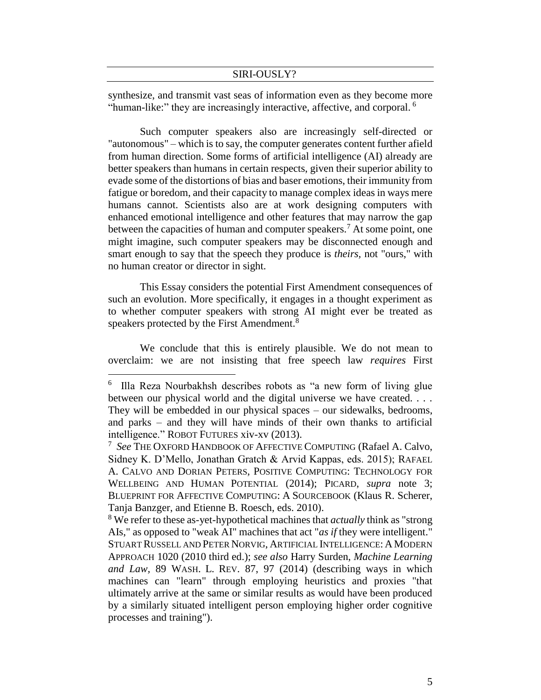synthesize, and transmit vast seas of information even as they become more "human-like:" they are increasingly interactive, affective, and corporal.<sup>6</sup>

Such computer speakers also are increasingly self-directed or "autonomous" – which is to say, the computer generates content further afield from human direction. Some forms of artificial intelligence (AI) already are better speakers than humans in certain respects, given their superior ability to evade some of the distortions of bias and baser emotions, their immunity from fatigue or boredom, and their capacity to manage complex ideas in ways mere humans cannot. Scientists also are at work designing computers with enhanced emotional intelligence and other features that may narrow the gap between the capacities of human and computer speakers.<sup>7</sup> At some point, one might imagine, such computer speakers may be disconnected enough and smart enough to say that the speech they produce is *theirs,* not "ours," with no human creator or director in sight.

This Essay considers the potential First Amendment consequences of such an evolution. More specifically, it engages in a thought experiment as to whether computer speakers with strong AI might ever be treated as speakers protected by the First Amendment.<sup>8</sup>

We conclude that this is entirely plausible. We do not mean to overclaim: we are not insisting that free speech law *requires* First

<sup>6</sup> Illa Reza Nourbakhsh describes robots as "a new form of living glue between our physical world and the digital universe we have created. . . . They will be embedded in our physical spaces – our sidewalks, bedrooms, and parks – and they will have minds of their own thanks to artificial intelligence." ROBOT FUTURES xiv-xv (2013).

<sup>7</sup> *See* THE OXFORD HANDBOOK OF AFFECTIVE COMPUTING (Rafael A. Calvo, Sidney K. D'Mello, Jonathan Gratch & Arvid Kappas, eds. 2015); RAFAEL A. CALVO AND DORIAN PETERS, POSITIVE COMPUTING: TECHNOLOGY FOR WELLBEING AND HUMAN POTENTIAL (2014); PICARD, *supra* note 3; BLUEPRINT FOR AFFECTIVE COMPUTING: A SOURCEBOOK (Klaus R. Scherer, Tanja Banzger, and Etienne B. Roesch, eds. 2010).

<sup>8</sup> We refer to these as-yet-hypothetical machines that *actually* think as "strong AIs," as opposed to "weak AI" machines that act "*as if* they were intelligent." STUART RUSSELL AND PETER NORVIG, ARTIFICIAL INTELLIGENCE: AMODERN APPROACH 1020 (2010 third ed.); *see also* Harry Surden, *Machine Learning and Law,* 89 WASH. L. REV. 87, 97 (2014) (describing ways in which machines can "learn" through employing heuristics and proxies "that ultimately arrive at the same or similar results as would have been produced by a similarly situated intelligent person employing higher order cognitive processes and training").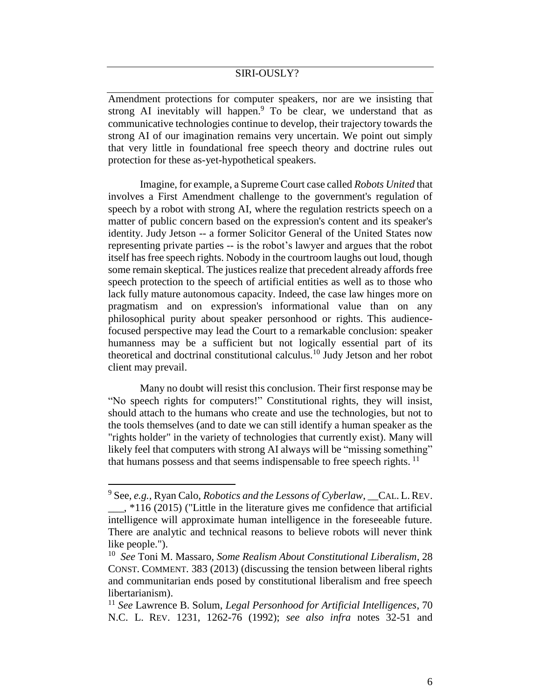Amendment protections for computer speakers, nor are we insisting that strong AI inevitably will happen.<sup>9</sup> To be clear, we understand that as communicative technologies continue to develop, their trajectory towards the strong AI of our imagination remains very uncertain. We point out simply that very little in foundational free speech theory and doctrine rules out protection for these as-yet-hypothetical speakers.

Imagine, for example, a Supreme Court case called *Robots United* that involves a First Amendment challenge to the government's regulation of speech by a robot with strong AI, where the regulation restricts speech on a matter of public concern based on the expression's content and its speaker's identity. Judy Jetson -- a former Solicitor General of the United States now representing private parties -- is the robot's lawyer and argues that the robot itself has free speech rights. Nobody in the courtroom laughs out loud, though some remain skeptical. The justices realize that precedent already affords free speech protection to the speech of artificial entities as well as to those who lack fully mature autonomous capacity. Indeed, the case law hinges more on pragmatism and on expression's informational value than on any philosophical purity about speaker personhood or rights. This audiencefocused perspective may lead the Court to a remarkable conclusion: speaker humanness may be a sufficient but not logically essential part of its theoretical and doctrinal constitutional calculus.<sup>10</sup> Judy Jetson and her robot client may prevail.

Many no doubt will resist this conclusion. Their first response may be "No speech rights for computers!" Constitutional rights, they will insist, should attach to the humans who create and use the technologies, but not to the tools themselves (and to date we can still identify a human speaker as the "rights holder" in the variety of technologies that currently exist). Many will likely feel that computers with strong AI always will be "missing something" that humans possess and that seems indispensable to free speech rights.<sup>11</sup>

<sup>9</sup> See, *e.g.,* Ryan Calo, *Robotics and the Lessons of Cyberlaw*, \_\_CAL. L.REV.

 $\frac{1}{2}$  \*116 (2015) ("Little in the literature gives me confidence that artificial intelligence will approximate human intelligence in the foreseeable future. There are analytic and technical reasons to believe robots will never think like people.").

<sup>10</sup> *See* Toni M. Massaro, *Some Realism About Constitutional Liberalism*, 28 CONST. COMMENT. 383 (2013) (discussing the tension between liberal rights and communitarian ends posed by constitutional liberalism and free speech libertarianism).

<sup>11</sup> *See* Lawrence B. Solum, *Legal Personhood for Artificial Intelligences*, 70 N.C. L. REV. 1231, 1262-76 (1992); *see also infra* notes 32-51 and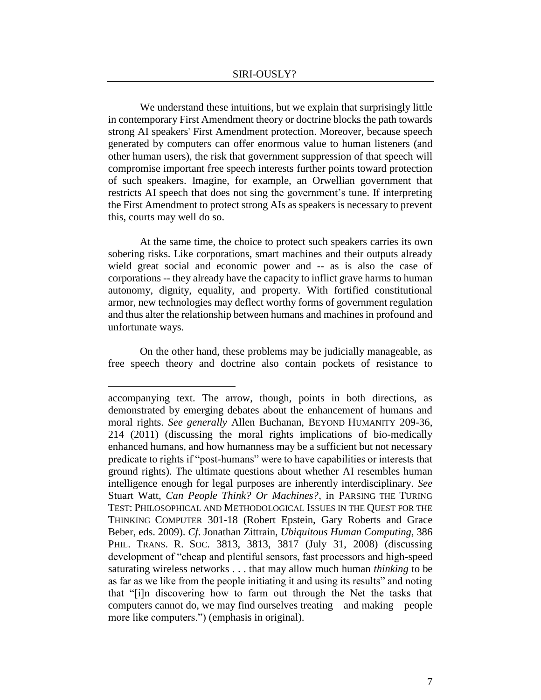We understand these intuitions, but we explain that surprisingly little in contemporary First Amendment theory or doctrine blocks the path towards strong AI speakers' First Amendment protection. Moreover, because speech generated by computers can offer enormous value to human listeners (and other human users), the risk that government suppression of that speech will compromise important free speech interests further points toward protection of such speakers. Imagine, for example, an Orwellian government that restricts AI speech that does not sing the government's tune. If interpreting the First Amendment to protect strong AIs as speakers is necessary to prevent this, courts may well do so.

At the same time, the choice to protect such speakers carries its own sobering risks. Like corporations, smart machines and their outputs already wield great social and economic power and -- as is also the case of corporations -- they already have the capacity to inflict grave harms to human autonomy, dignity, equality, and property. With fortified constitutional armor, new technologies may deflect worthy forms of government regulation and thus alter the relationship between humans and machines in profound and unfortunate ways.

On the other hand, these problems may be judicially manageable, as free speech theory and doctrine also contain pockets of resistance to

accompanying text. The arrow, though, points in both directions, as demonstrated by emerging debates about the enhancement of humans and moral rights. *See generally* Allen Buchanan, BEYOND HUMANITY 209-36, 214 (2011) (discussing the moral rights implications of bio-medically enhanced humans, and how humanness may be a sufficient but not necessary predicate to rights if "post-humans" were to have capabilities or interests that ground rights). The ultimate questions about whether AI resembles human intelligence enough for legal purposes are inherently interdisciplinary. *See* Stuart Watt, *Can People Think? Or Machines?*, in PARSING THE TURING TEST: PHILOSOPHICAL AND METHODOLOGICAL ISSUES IN THE QUEST FOR THE THINKING COMPUTER 301-18 (Robert Epstein, Gary Roberts and Grace Beber, eds. 2009). *Cf*. Jonathan Zittrain, *Ubiquitous Human Computing,* 386 PHIL. TRANS. R. SOC. 3813, 3813, 3817 (July 31, 2008) (discussing development of "cheap and plentiful sensors, fast processors and high-speed saturating wireless networks . . . that may allow much human *thinking* to be as far as we like from the people initiating it and using its results" and noting that "[i]n discovering how to farm out through the Net the tasks that computers cannot do, we may find ourselves treating – and making – people more like computers.") (emphasis in original).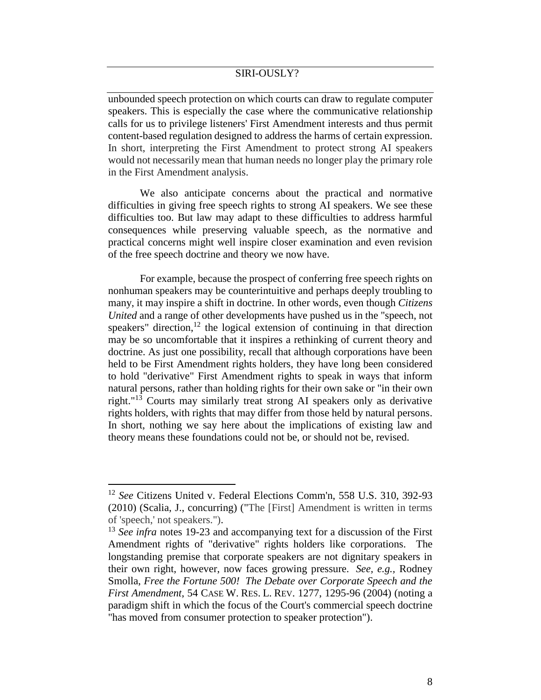unbounded speech protection on which courts can draw to regulate computer speakers. This is especially the case where the communicative relationship calls for us to privilege listeners' First Amendment interests and thus permit content-based regulation designed to address the harms of certain expression. In short, interpreting the First Amendment to protect strong AI speakers would not necessarily mean that human needs no longer play the primary role in the First Amendment analysis.

We also anticipate concerns about the practical and normative difficulties in giving free speech rights to strong AI speakers. We see these difficulties too. But law may adapt to these difficulties to address harmful consequences while preserving valuable speech, as the normative and practical concerns might well inspire closer examination and even revision of the free speech doctrine and theory we now have.

For example, because the prospect of conferring free speech rights on nonhuman speakers may be counterintuitive and perhaps deeply troubling to many, it may inspire a shift in doctrine. In other words, even though *Citizens United* and a range of other developments have pushed us in the "speech, not speakers" direction,  $12$  the logical extension of continuing in that direction may be so uncomfortable that it inspires a rethinking of current theory and doctrine. As just one possibility, recall that although corporations have been held to be First Amendment rights holders, they have long been considered to hold "derivative" First Amendment rights to speak in ways that inform natural persons, rather than holding rights for their own sake or "in their own right."<sup>13</sup> Courts may similarly treat strong AI speakers only as derivative rights holders, with rights that may differ from those held by natural persons. In short, nothing we say here about the implications of existing law and theory means these foundations could not be, or should not be, revised.

<sup>12</sup> *See* Citizens United v. Federal Elections Comm'n, 558 U.S. 310, 392-93 (2010) (Scalia, J., concurring) ("The [First] Amendment is written in terms of 'speech,' not speakers.").

<sup>&</sup>lt;sup>13</sup> *See infra* notes 19-23 and accompanying text for a discussion of the First Amendment rights of "derivative" rights holders like corporations. The longstanding premise that corporate speakers are not dignitary speakers in their own right, however, now faces growing pressure. *See, e.g.,* Rodney Smolla, *Free the Fortune 500! The Debate over Corporate Speech and the First Amendment*, 54 CASE W. RES. L. REV. 1277, 1295-96 (2004) (noting a paradigm shift in which the focus of the Court's commercial speech doctrine "has moved from consumer protection to speaker protection").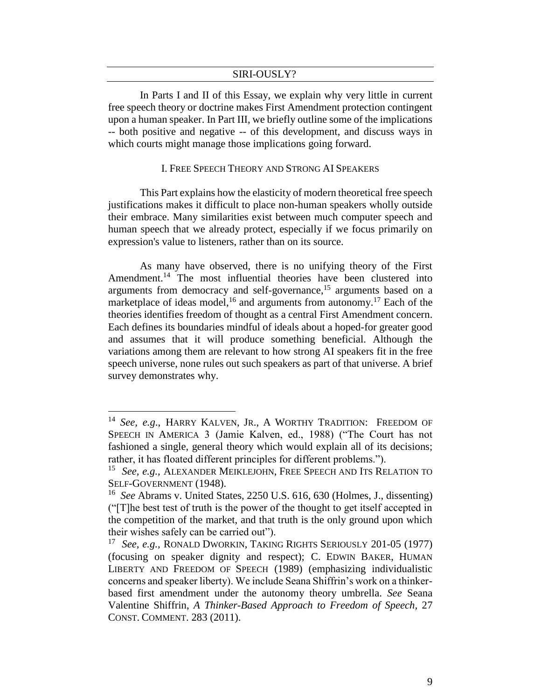In Parts I and II of this Essay, we explain why very little in current free speech theory or doctrine makes First Amendment protection contingent upon a human speaker. In Part III, we briefly outline some of the implications -- both positive and negative -- of this development, and discuss ways in which courts might manage those implications going forward.

#### I. FREE SPEECH THEORY AND STRONG AI SPEAKERS

This Part explains how the elasticity of modern theoretical free speech justifications makes it difficult to place non-human speakers wholly outside their embrace. Many similarities exist between much computer speech and human speech that we already protect, especially if we focus primarily on expression's value to listeners, rather than on its source.

As many have observed, there is no unifying theory of the First Amendment.<sup>14</sup> The most influential theories have been clustered into arguments from democracy and self-governance,<sup>15</sup> arguments based on a marketplace of ideas model,<sup>16</sup> and arguments from autonomy.<sup>17</sup> Each of the theories identifies freedom of thought as a central First Amendment concern. Each defines its boundaries mindful of ideals about a hoped-for greater good and assumes that it will produce something beneficial. Although the variations among them are relevant to how strong AI speakers fit in the free speech universe, none rules out such speakers as part of that universe. A brief survey demonstrates why.

<sup>14</sup> *See, e.g*., HARRY KALVEN, JR., A WORTHY TRADITION: FREEDOM OF SPEECH IN AMERICA 3 (Jamie Kalven, ed., 1988) ("The Court has not fashioned a single, general theory which would explain all of its decisions; rather, it has floated different principles for different problems.").

<sup>15</sup> *See, e.g.,* ALEXANDER MEIKLEJOHN, FREE SPEECH AND ITS RELATION TO SELF-GOVERNMENT (1948).

<sup>&</sup>lt;sup>16</sup> See Abrams v. United States, 2250 U.S. 616, 630 (Holmes, J., dissenting) ("[T]he best test of truth is the power of the thought to get itself accepted in the competition of the market, and that truth is the only ground upon which their wishes safely can be carried out").

<sup>17</sup> *See, e.g.,* RONALD DWORKIN, TAKING RIGHTS SERIOUSLY 201-05 (1977) (focusing on speaker dignity and respect); C. EDWIN BAKER, HUMAN LIBERTY AND FREEDOM OF SPEECH (1989) (emphasizing individualistic concerns and speaker liberty). We include Seana Shiffrin's work on a thinkerbased first amendment under the autonomy theory umbrella. *See* Seana Valentine Shiffrin, *A Thinker-Based Approach to Freedom of Speech,* 27 CONST. COMMENT. 283 (2011).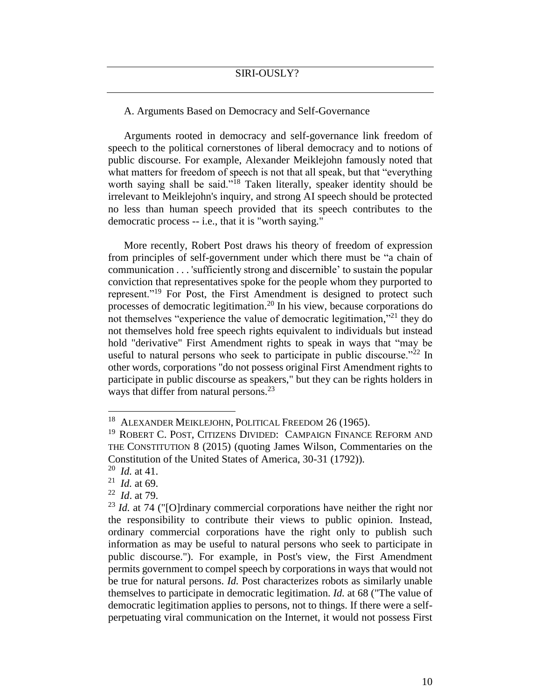# A. Arguments Based on Democracy and Self-Governance

Arguments rooted in democracy and self-governance link freedom of speech to the political cornerstones of liberal democracy and to notions of public discourse. For example, Alexander Meiklejohn famously noted that what matters for freedom of speech is not that all speak, but that "everything worth saying shall be said."<sup>18</sup> Taken literally, speaker identity should be irrelevant to Meiklejohn's inquiry, and strong AI speech should be protected no less than human speech provided that its speech contributes to the democratic process -- i.e., that it is "worth saying."

More recently, Robert Post draws his theory of freedom of expression from principles of self-government under which there must be "a chain of communication . . . 'sufficiently strong and discernible' to sustain the popular conviction that representatives spoke for the people whom they purported to represent."<sup>19</sup> For Post, the First Amendment is designed to protect such processes of democratic legitimation. <sup>20</sup> In his view, because corporations do not themselves "experience the value of democratic legitimation,"<sup>21</sup> they do not themselves hold free speech rights equivalent to individuals but instead hold "derivative" First Amendment rights to speak in ways that "may be useful to natural persons who seek to participate in public discourse."<sup>22</sup> In other words, corporations "do not possess original First Amendment rights to participate in public discourse as speakers," but they can be rights holders in ways that differ from natural persons.<sup>23</sup>

 $\overline{a}$ 

22 *Id*. at 79.

<sup>&</sup>lt;sup>18</sup> ALEXANDER MEIKLEJOHN, POLITICAL FREEDOM 26 (1965).

<sup>&</sup>lt;sup>19</sup> ROBERT C. POST, CITIZENS DIVIDED: CAMPAIGN FINANCE REFORM AND THE CONSTITUTION 8 (2015) (quoting James Wilson, Commentaries on the Constitution of the United States of America, 30-31 (1792)).

<sup>20</sup> *Id.* at 41.

<sup>21</sup> *Id.* at 69.

<sup>&</sup>lt;sup>23</sup> *Id.* at 74 ("[O]rdinary commercial corporations have neither the right nor the responsibility to contribute their views to public opinion. Instead, ordinary commercial corporations have the right only to publish such information as may be useful to natural persons who seek to participate in public discourse."). For example, in Post's view, the First Amendment permits government to compel speech by corporations in ways that would not be true for natural persons. *Id.* Post characterizes robots as similarly unable themselves to participate in democratic legitimation. *Id.* at 68 ("The value of democratic legitimation applies to persons, not to things. If there were a selfperpetuating viral communication on the Internet, it would not possess First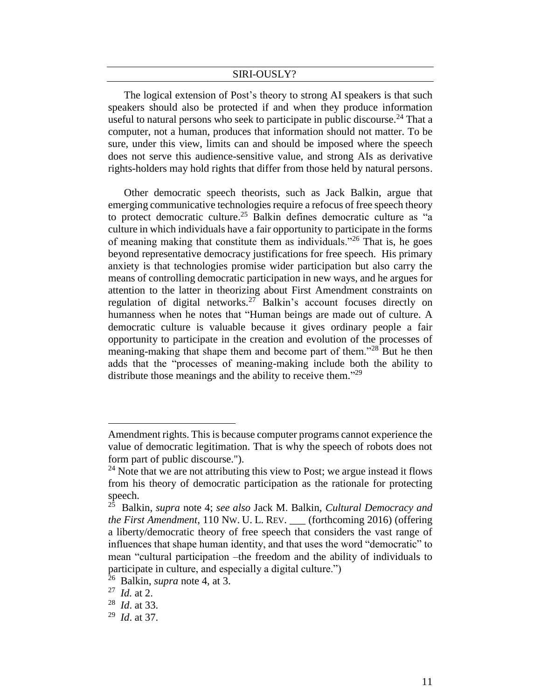The logical extension of Post's theory to strong AI speakers is that such speakers should also be protected if and when they produce information useful to natural persons who seek to participate in public discourse.<sup>24</sup> That a computer, not a human, produces that information should not matter. To be sure, under this view, limits can and should be imposed where the speech does not serve this audience-sensitive value, and strong AIs as derivative rights-holders may hold rights that differ from those held by natural persons.

Other democratic speech theorists, such as Jack Balkin, argue that emerging communicative technologies require a refocus of free speech theory to protect democratic culture. <sup>25</sup> Balkin defines democratic culture as "a culture in which individuals have a fair opportunity to participate in the forms of meaning making that constitute them as individuals.<sup> $26$ </sup> That is, he goes beyond representative democracy justifications for free speech. His primary anxiety is that technologies promise wider participation but also carry the means of controlling democratic participation in new ways, and he argues for attention to the latter in theorizing about First Amendment constraints on regulation of digital networks.<sup>27</sup> Balkin's account focuses directly on humanness when he notes that "Human beings are made out of culture. A democratic culture is valuable because it gives ordinary people a fair opportunity to participate in the creation and evolution of the processes of meaning-making that shape them and become part of them."<sup>28</sup> But he then adds that the "processes of meaning-making include both the ability to distribute those meanings and the ability to receive them."<sup>29</sup>

Amendment rights. This is because computer programs cannot experience the value of democratic legitimation. That is why the speech of robots does not form part of public discourse.").

 $^{24}$  Note that we are not attributing this view to Post; we argue instead it flows from his theory of democratic participation as the rationale for protecting speech.

<sup>25</sup> Balkin, *supra* note 4; *see also* Jack M. Balkin, *Cultural Democracy and the First Amendment*, 110 NW. U. L. REV. \_\_\_ (forthcoming 2016) (offering a liberty/democratic theory of free speech that considers the vast range of influences that shape human identity, and that uses the word "democratic" to mean "cultural participation –the freedom and the ability of individuals to participate in culture, and especially a digital culture.")

<sup>26</sup> Balkin, *supra* note 4, at 3.

<sup>27</sup> *Id.* at 2.

<sup>28</sup> *Id*. at 33.

<sup>29</sup> *Id*. at 37.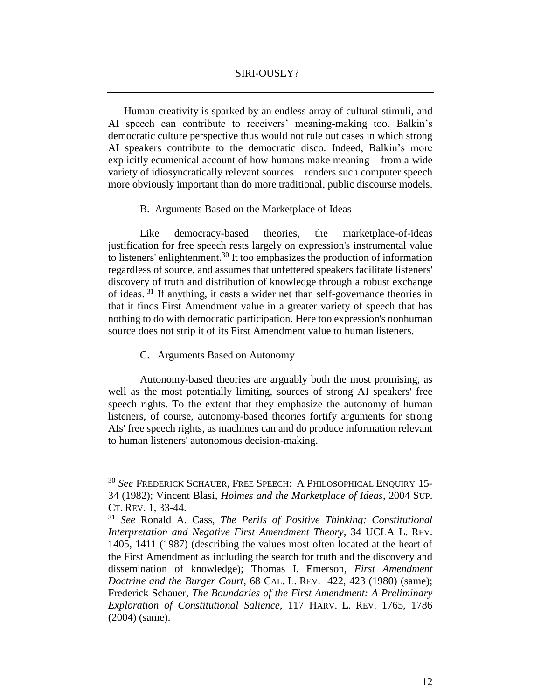Human creativity is sparked by an endless array of cultural stimuli, and AI speech can contribute to receivers' meaning-making too. Balkin's democratic culture perspective thus would not rule out cases in which strong AI speakers contribute to the democratic disco. Indeed, Balkin's more explicitly ecumenical account of how humans make meaning – from a wide variety of idiosyncratically relevant sources – renders such computer speech more obviously important than do more traditional, public discourse models.

B. Arguments Based on the Marketplace of Ideas

Like democracy-based theories, the marketplace-of-ideas justification for free speech rests largely on expression's instrumental value to listeners' enlightenment.<sup>30</sup> It too emphasizes the production of information regardless of source, and assumes that unfettered speakers facilitate listeners' discovery of truth and distribution of knowledge through a robust exchange of ideas. <sup>31</sup> If anything, it casts a wider net than self-governance theories in that it finds First Amendment value in a greater variety of speech that has nothing to do with democratic participation. Here too expression's nonhuman source does not strip it of its First Amendment value to human listeners.

C. Arguments Based on Autonomy

 $\overline{a}$ 

Autonomy-based theories are arguably both the most promising, as well as the most potentially limiting, sources of strong AI speakers' free speech rights. To the extent that they emphasize the autonomy of human listeners, of course, autonomy-based theories fortify arguments for strong AIs' free speech rights, as machines can and do produce information relevant to human listeners' autonomous decision-making.

<sup>30</sup> *See* FREDERICK SCHAUER, FREE SPEECH: A PHILOSOPHICAL ENQUIRY 15- 34 (1982); Vincent Blasi, *Holmes and the Marketplace of Ideas*, 2004 SUP. CT. REV. 1, 33-44.

<sup>31</sup> *See* Ronald A. Cass, *The Perils of Positive Thinking: Constitutional Interpretation and Negative First Amendment Theory*, 34 UCLA L. REV. 1405, 1411 (1987) (describing the values most often located at the heart of the First Amendment as including the search for truth and the discovery and dissemination of knowledge); Thomas I. Emerson, *First Amendment Doctrine and the Burger Court*, 68 CAL. L. REV. 422, 423 (1980) (same); Frederick Schauer, *The Boundaries of the First Amendment: A Preliminary Exploration of Constitutional Salience*, 117 HARV. L. REV. 1765, 1786 (2004) (same).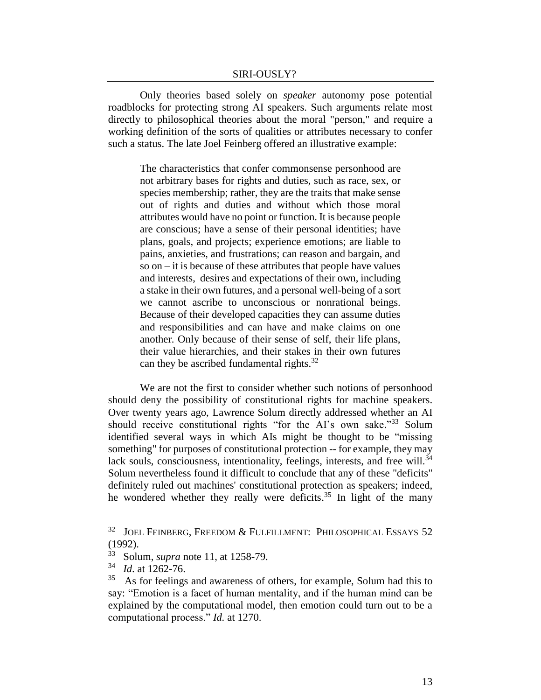Only theories based solely on *speaker* autonomy pose potential roadblocks for protecting strong AI speakers. Such arguments relate most directly to philosophical theories about the moral "person," and require a working definition of the sorts of qualities or attributes necessary to confer such a status. The late Joel Feinberg offered an illustrative example:

The characteristics that confer commonsense personhood are not arbitrary bases for rights and duties, such as race, sex, or species membership; rather, they are the traits that make sense out of rights and duties and without which those moral attributes would have no point or function. It is because people are conscious; have a sense of their personal identities; have plans, goals, and projects; experience emotions; are liable to pains, anxieties, and frustrations; can reason and bargain, and so on – it is because of these attributes that people have values and interests, desires and expectations of their own, including a stake in their own futures, and a personal well-being of a sort we cannot ascribe to unconscious or nonrational beings. Because of their developed capacities they can assume duties and responsibilities and can have and make claims on one another. Only because of their sense of self, their life plans, their value hierarchies, and their stakes in their own futures can they be ascribed fundamental rights.<sup>32</sup>

We are not the first to consider whether such notions of personhood should deny the possibility of constitutional rights for machine speakers. Over twenty years ago, Lawrence Solum directly addressed whether an AI should receive constitutional rights "for the AI's own sake."<sup>33</sup> Solum identified several ways in which AIs might be thought to be "missing something" for purposes of constitutional protection -- for example, they may lack souls, consciousness, intentionality, feelings, interests, and free will.<sup>34</sup> Solum nevertheless found it difficult to conclude that any of these "deficits" definitely ruled out machines' constitutional protection as speakers; indeed, he wondered whether they really were deficits.<sup>35</sup> In light of the many

<sup>32</sup> JOEL FEINBERG, FREEDOM & FULFILLMENT: PHILOSOPHICAL ESSAYS 52 (1992).

<sup>33</sup> Solum, *supra* note 11, at 1258-79.

<sup>34</sup> *Id*. at 1262-76.

<sup>35</sup> As for feelings and awareness of others, for example, Solum had this to say: "Emotion is a facet of human mentality, and if the human mind can be explained by the computational model, then emotion could turn out to be a computational process." *Id.* at 1270.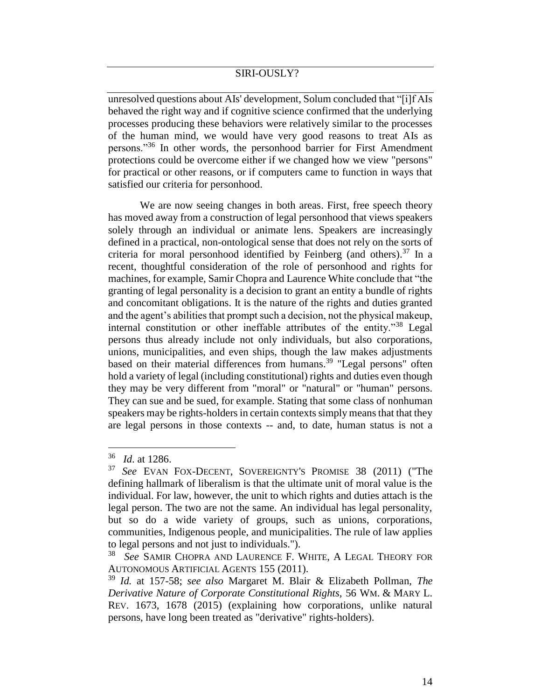unresolved questions about AIs' development, Solum concluded that "[i]f AIs behaved the right way and if cognitive science confirmed that the underlying processes producing these behaviors were relatively similar to the processes of the human mind, we would have very good reasons to treat AIs as persons."<sup>36</sup> In other words, the personhood barrier for First Amendment protections could be overcome either if we changed how we view "persons" for practical or other reasons, or if computers came to function in ways that satisfied our criteria for personhood.

We are now seeing changes in both areas. First, free speech theory has moved away from a construction of legal personhood that views speakers solely through an individual or animate lens. Speakers are increasingly defined in a practical, non-ontological sense that does not rely on the sorts of criteria for moral personhood identified by Feinberg (and others).<sup>37</sup> In a recent, thoughtful consideration of the role of personhood and rights for machines, for example, Samir Chopra and Laurence White conclude that "the granting of legal personality is a decision to grant an entity a bundle of rights and concomitant obligations. It is the nature of the rights and duties granted and the agent's abilities that prompt such a decision, not the physical makeup, internal constitution or other ineffable attributes of the entity."<sup>38</sup> Legal persons thus already include not only individuals, but also corporations, unions, municipalities, and even ships, though the law makes adjustments based on their material differences from humans.<sup>39</sup> "Legal persons" often hold a variety of legal (including constitutional) rights and duties even though they may be very different from "moral" or "natural" or "human" persons. They can sue and be sued, for example. Stating that some class of nonhuman speakers may be rights-holders in certain contexts simply means that that they are legal persons in those contexts -- and, to date, human status is not a

<sup>36</sup> *Id*. at 1286.

<sup>37</sup> *See* EVAN FOX-DECENT, SOVEREIGNTY'S PROMISE 38 (2011) ("The defining hallmark of liberalism is that the ultimate unit of moral value is the individual. For law, however, the unit to which rights and duties attach is the legal person. The two are not the same. An individual has legal personality, but so do a wide variety of groups, such as unions, corporations, communities, Indigenous people, and municipalities. The rule of law applies to legal persons and not just to individuals.").

<sup>38</sup> *See* SAMIR CHOPRA AND LAURENCE F. WHITE, A LEGAL THEORY FOR AUTONOMOUS ARTIFICIAL AGENTS 155 (2011).

<sup>39</sup> *Id.* at 157-58; *see also* Margaret M. Blair & Elizabeth Pollman, *The Derivative Nature of Corporate Constitutional Rights,* 56 WM. & MARY L. REV. 1673, 1678 (2015) (explaining how corporations, unlike natural persons, have long been treated as "derivative" rights-holders).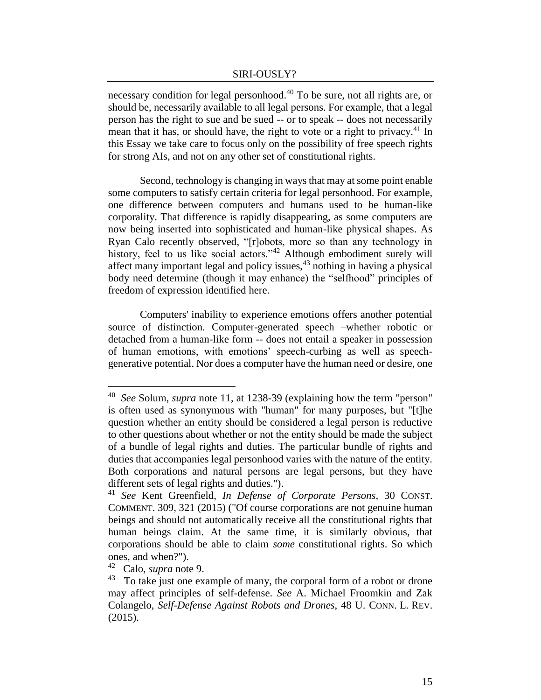necessary condition for legal personhood.<sup>40</sup> To be sure, not all rights are, or should be, necessarily available to all legal persons. For example, that a legal person has the right to sue and be sued -- or to speak -- does not necessarily mean that it has, or should have, the right to vote or a right to privacy.<sup>41</sup> In this Essay we take care to focus only on the possibility of free speech rights for strong AIs, and not on any other set of constitutional rights.

Second, technology is changing in ways that may at some point enable some computers to satisfy certain criteria for legal personhood. For example, one difference between computers and humans used to be human-like corporality. That difference is rapidly disappearing, as some computers are now being inserted into sophisticated and human-like physical shapes. As Ryan Calo recently observed, "[r]obots, more so than any technology in history, feel to us like social actors."<sup>42</sup> Although embodiment surely will affect many important legal and policy issues,<sup>43</sup> nothing in having a physical body need determine (though it may enhance) the "selfhood" principles of freedom of expression identified here.

Computers' inability to experience emotions offers another potential source of distinction. Computer-generated speech –whether robotic or detached from a human-like form -- does not entail a speaker in possession of human emotions, with emotions' speech-curbing as well as speechgenerative potential. Nor does a computer have the human need or desire, one

<sup>40</sup> *See* Solum, *supra* note 11, at 1238-39 (explaining how the term "person" is often used as synonymous with "human" for many purposes, but "[t]he question whether an entity should be considered a legal person is reductive to other questions about whether or not the entity should be made the subject of a bundle of legal rights and duties. The particular bundle of rights and duties that accompanies legal personhood varies with the nature of the entity. Both corporations and natural persons are legal persons, but they have different sets of legal rights and duties.").

<sup>41</sup> *See* Kent Greenfield, *In Defense of Corporate Persons,* 30 CONST. COMMENT. 309, 321 (2015) ("Of course corporations are not genuine human beings and should not automatically receive all the constitutional rights that human beings claim. At the same time, it is similarly obvious, that corporations should be able to claim *some* constitutional rights. So which ones, and when?").

<sup>42</sup> Calo, *supra* note 9.

<sup>43</sup> To take just one example of many, the corporal form of a robot or drone may affect principles of self-defense. *See* A. Michael Froomkin and Zak Colangelo, *Self-Defense Against Robots and Drones*, 48 U. CONN. L. REV. (2015).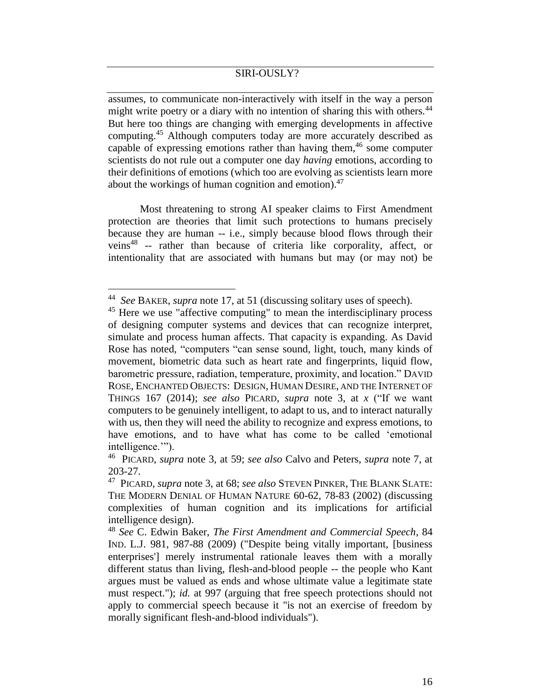assumes, to communicate non-interactively with itself in the way a person might write poetry or a diary with no intention of sharing this with others.<sup>44</sup> But here too things are changing with emerging developments in affective computing. <sup>45</sup> Although computers today are more accurately described as capable of expressing emotions rather than having them,  $46$  some computer scientists do not rule out a computer one day *having* emotions, according to their definitions of emotions (which too are evolving as scientists learn more about the workings of human cognition and emotion).<sup>47</sup>

Most threatening to strong AI speaker claims to First Amendment protection are theories that limit such protections to humans precisely because they are human -- i.e., simply because blood flows through their veins<sup>48</sup> -- rather than because of criteria like corporality, affect, or intentionality that are associated with humans but may (or may not) be

<sup>44</sup> *See* BAKER, *supra* note 17, at 51 (discussing solitary uses of speech).

<sup>&</sup>lt;sup>45</sup> Here we use "affective computing" to mean the interdisciplinary process of designing computer systems and devices that can recognize interpret, simulate and process human affects. That capacity is expanding. As David Rose has noted, "computers "can sense sound, light, touch, many kinds of movement, biometric data such as heart rate and fingerprints, liquid flow, barometric pressure, radiation, temperature, proximity, and location." DAVID ROSE, ENCHANTED OBJECTS: DESIGN, HUMAN DESIRE, AND THE INTERNET OF THINGS 167 (2014); *see also* PICARD, *supra* note 3, at *x* ("If we want computers to be genuinely intelligent, to adapt to us, and to interact naturally with us, then they will need the ability to recognize and express emotions, to have emotions, and to have what has come to be called 'emotional intelligence.'").

<sup>46</sup> PICARD, *supra* note 3*,* at 59; *see also* Calvo and Peters, *supra* note 7, at 203-27.

<sup>47</sup> PICARD, *supra* note 3*,* at 68; *see also* STEVEN PINKER, THE BLANK SLATE: THE MODERN DENIAL OF HUMAN NATURE 60-62, 78-83 (2002) (discussing complexities of human cognition and its implications for artificial intelligence design).

<sup>48</sup> *See* C. Edwin Baker, *The First Amendment and Commercial Speech*, 84 IND. L.J. 981, 987-88 (2009) ("Despite being vitally important, [business enterprises'] merely instrumental rationale leaves them with a morally different status than living, flesh-and-blood people -- the people who Kant argues must be valued as ends and whose ultimate value a legitimate state must respect."); *id.* at 997 (arguing that free speech protections should not apply to commercial speech because it "is not an exercise of freedom by morally significant flesh-and-blood individuals").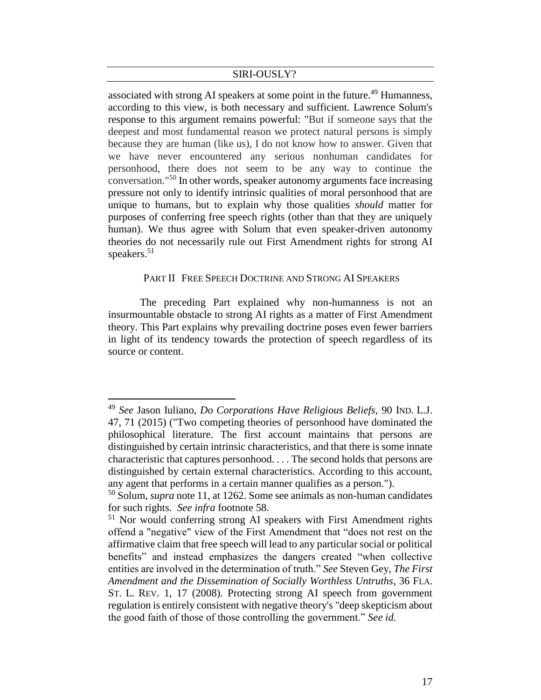associated with strong AI speakers at some point in the future.<sup>49</sup> Humanness, according to this view, is both necessary and sufficient. Lawrence Solum's response to this argument remains powerful: "But if someone says that the deepest and most fundamental reason we protect natural persons is simply because they are human (like us), I do not know how to answer. Given that we have never encountered any serious nonhuman candidates for personhood, there does not seem to be any way to continue the conversation."<sup>50</sup> In other words, speaker autonomy arguments face increasing pressure not only to identify intrinsic qualities of moral personhood that are unique to humans, but to explain why those qualities *should* matter for purposes of conferring free speech rights (other than that they are uniquely human). We thus agree with Solum that even speaker-driven autonomy theories do not necessarily rule out First Amendment rights for strong AI speakers. 51

#### PART II FREE SPEECH DOCTRINE AND STRONG AI SPEAKERS

The preceding Part explained why non-humanness is not an insurmountable obstacle to strong AI rights as a matter of First Amendment theory. This Part explains why prevailing doctrine poses even fewer barriers in light of its tendency towards the protection of speech regardless of its source or content.

<sup>49</sup> *See* Jason Iuliano, *Do Corporations Have Religious Beliefs,* 90 IND. L.J. 47, 71 (2015) ("Two competing theories of personhood have dominated the philosophical literature. The first account maintains that persons are distinguished by certain intrinsic characteristics, and that there is some innate characteristic that captures personhood. . . . The second holds that persons are distinguished by certain external characteristics. According to this account, any agent that performs in a certain manner qualifies as a person.").

<sup>50</sup> Solum, *supra* note 11, at 1262. Some see animals as non-human candidates for such rights. *See infra* footnote 58.

<sup>&</sup>lt;sup>51</sup> Nor would conferring strong AI speakers with First Amendment rights offend a "negative" view of the First Amendment that "does not rest on the affirmative claim that free speech will lead to any particular social or political benefits" and instead emphasizes the dangers created "when collective entities are involved in the determination of truth." *See* Steven Gey, *The First Amendment and the Dissemination of Socially Worthless Untruths*, 36 FLA. ST. L. REV. 1, 17 (2008). Protecting strong AI speech from government regulation is entirely consistent with negative theory's "deep skepticism about the good faith of those of those controlling the government." *See id.*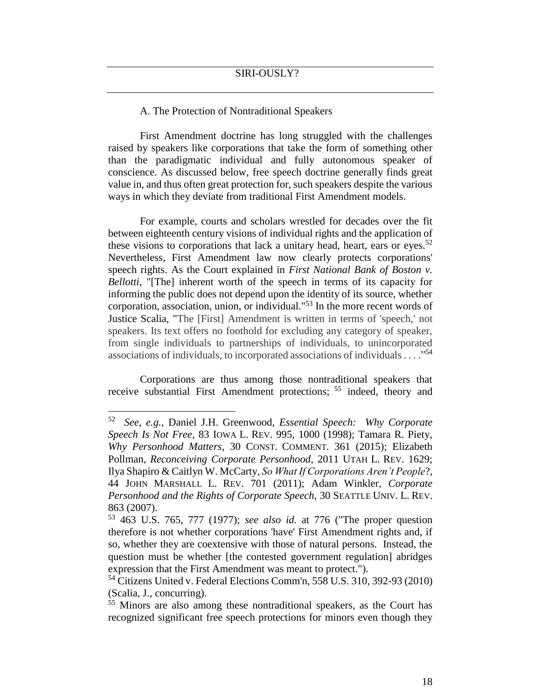#### A. The Protection of Nontraditional Speakers

First Amendment doctrine has long struggled with the challenges raised by speakers like corporations that take the form of something other than the paradigmatic individual and fully autonomous speaker of conscience. As discussed below, free speech doctrine generally finds great value in, and thus often great protection for, such speakers despite the various ways in which they deviate from traditional First Amendment models.

For example, courts and scholars wrestled for decades over the fit between eighteenth century visions of individual rights and the application of these visions to corporations that lack a unitary head, heart, ears or eyes.<sup>52</sup> Nevertheless, First Amendment law now clearly protects corporations' speech rights. As the Court explained in *First National Bank of Boston v. Bellotti*, "[The] inherent worth of the speech in terms of its capacity for informing the public does not depend upon the identity of its source, whether corporation, association, union, or individual."<sup>53</sup> In the more recent words of Justice Scalia, "The [First] Amendment is written in terms of 'speech,' not speakers. Its text offers no foothold for excluding any category of speaker, from single individuals to partnerships of individuals, to unincorporated associations of individuals, to incorporated associations of individuals . . . ." 54

Corporations are thus among those nontraditional speakers that receive substantial First Amendment protections; <sup>55</sup> indeed, theory and

<sup>52</sup> *See, e.g.,* Daniel J.H. Greenwood, *Essential Speech: Why Corporate Speech Is Not Free*, 83 IOWA L. REV. 995, 1000 (1998); Tamara R. Piety, *Why Personhood Matters*, 30 CONST. COMMENT. 361 (2015); Elizabeth Pollman, *Reconceiving Corporate Personhood*, 2011 UTAH L. REV. 1629; Ilya Shapiro & Caitlyn W. McCarty, *So What If Corporations Aren't People*?, 44 JOHN MARSHALL L. REV. 701 (2011); Adam Winkler, *Corporate Personhood and the Rights of Corporate Speech*, 30 SEATTLE UNIV. L. REV. 863 (2007).

<sup>53</sup> 463 U.S. 765, 777 (1977); *see also id.* at 776 ("The proper question therefore is not whether corporations 'have' First Amendment rights and, if so, whether they are coextensive with those of natural persons. Instead, the question must be whether [the contested government regulation] abridges expression that the First Amendment was meant to protect.").

<sup>54</sup> Citizens United v. Federal Elections Comm'n, 558 U.S. 310, 392-93 (2010) (Scalia, J., concurring).

<sup>55</sup> Minors are also among these nontraditional speakers, as the Court has recognized significant free speech protections for minors even though they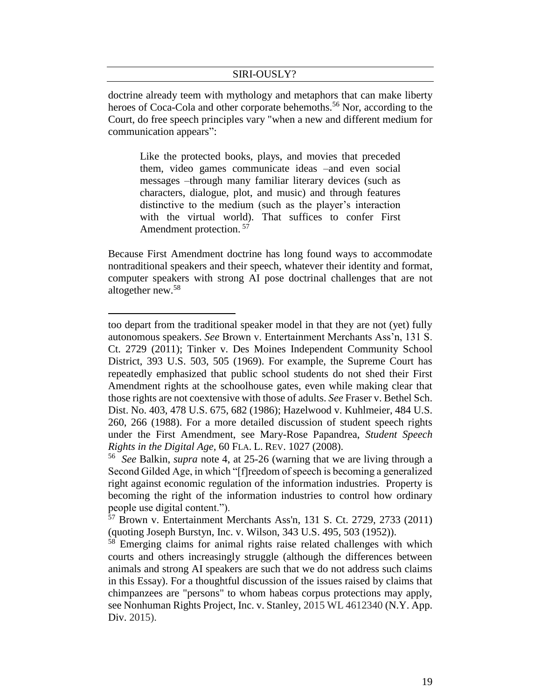doctrine already teem with mythology and metaphors that can make liberty heroes of Coca-Cola and other corporate behemoths.<sup>56</sup> Nor, according to the Court, do free speech principles vary "when a new and different medium for communication appears":

Like the protected books, plays, and movies that preceded them, video games communicate ideas –and even social messages –through many familiar literary devices (such as characters, dialogue, plot, and music) and through features distinctive to the medium (such as the player's interaction with the virtual world). That suffices to confer First Amendment protection. <sup>57</sup>

Because First Amendment doctrine has long found ways to accommodate nontraditional speakers and their speech, whatever their identity and format, computer speakers with strong AI pose doctrinal challenges that are not altogether new. 58

too depart from the traditional speaker model in that they are not (yet) fully autonomous speakers. *See* Brown v. Entertainment Merchants Ass'n, 131 S. Ct. 2729 (2011); Tinker v. Des Moines Independent Community School District, 393 U.S. 503, 505 (1969). For example, the Supreme Court has repeatedly emphasized that public school students do not shed their First Amendment rights at the schoolhouse gates, even while making clear that those rights are not coextensive with those of adults. *See* Fraser v. Bethel Sch. Dist. No. 403, 478 U.S. 675, 682 (1986); Hazelwood v. Kuhlmeier, 484 U.S. 260, 266 (1988). For a more detailed discussion of student speech rights under the First Amendment, see Mary-Rose Papandrea, *Student Speech Rights in the Digital Age,* 60 FLA. L. REV. 1027 (2008).

<sup>56</sup> *See* Balkin, *supra* note 4, at 25-26 (warning that we are living through a Second Gilded Age, in which "[f]reedom of speech is becoming a generalized right against economic regulation of the information industries. Property is becoming the right of the information industries to control how ordinary people use digital content.").

 $\frac{57}{57}$  Brown v. Entertainment Merchants Ass'n, 131 S. Ct. 2729, 2733 (2011) (quoting Joseph Burstyn, Inc. v. Wilson, 343 U.S. 495, 503 (1952)).

<sup>&</sup>lt;sup>58</sup> Emerging claims for animal rights raise related challenges with which courts and others increasingly struggle (although the differences between animals and strong AI speakers are such that we do not address such claims in this Essay). For a thoughtful discussion of the issues raised by claims that chimpanzees are "persons" to whom habeas corpus protections may apply, see Nonhuman Rights Project, Inc. v. Stanley, 2015 WL 4612340 (N.Y. App. Div. 2015).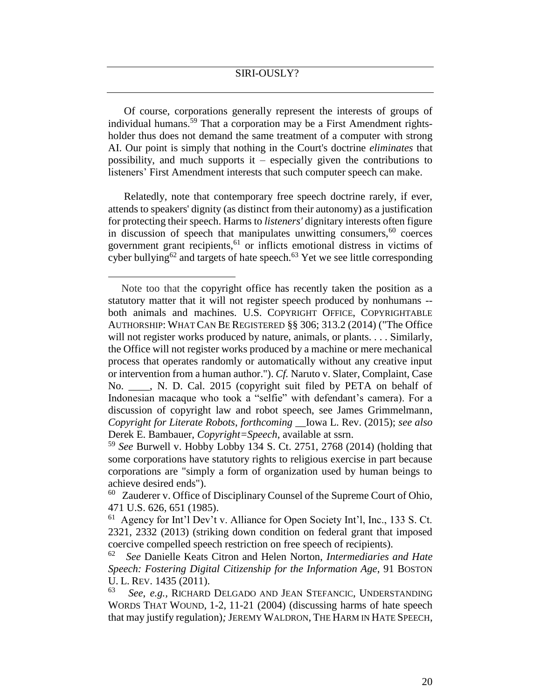Of course, corporations generally represent the interests of groups of individual humans.<sup>59</sup> That a corporation may be a First Amendment rightsholder thus does not demand the same treatment of a computer with strong AI. Our point is simply that nothing in the Court's doctrine *eliminates* that possibility, and much supports it – especially given the contributions to listeners' First Amendment interests that such computer speech can make.

Relatedly, note that contemporary free speech doctrine rarely, if ever, attends to speakers' dignity (as distinct from their autonomy) as a justification for protecting their speech. Harms to *listeners'* dignitary interests often figure in discussion of speech that manipulates unwitting consumers,  $60$  coerces government grant recipients,<sup>61</sup> or inflicts emotional distress in victims of cyber bullying<sup>62</sup> and targets of hate speech.<sup>63</sup> Yet we see little corresponding

Note too that the copyright office has recently taken the position as a statutory matter that it will not register speech produced by nonhumans - both animals and machines. U.S. COPYRIGHT OFFICE, COPYRIGHTABLE AUTHORSHIP: WHAT CAN BE REGISTERED §§ 306; 313.2 (2014) ("The Office will not register works produced by nature, animals, or plants. . . . Similarly, the Office will not register works produced by a machine or mere mechanical process that operates randomly or automatically without any creative input or intervention from a human author."). *Cf.* Naruto v. Slater, Complaint, Case No. \_\_\_\_, N. D. Cal. 2015 (copyright suit filed by PETA on behalf of Indonesian macaque who took a "selfie" with defendant's camera). For a discussion of copyright law and robot speech, see James Grimmelmann, *Copyright for Literate Robots*, *forthcoming* \_\_Iowa L. Rev. (2015); *see also* Derek E. Bambauer, *Copyright=Speech*, available at ssrn.

<sup>59</sup> *See* Burwell v. Hobby Lobby 134 S. Ct. 2751, 2768 (2014) (holding that some corporations have statutory rights to religious exercise in part because corporations are "simply a form of organization used by human beings to achieve desired ends").

<sup>&</sup>lt;sup>60</sup> Zauderer v. Office of Disciplinary Counsel of the Supreme Court of Ohio, 471 U.S. 626, 651 (1985).

<sup>61</sup> Agency for Int'l Dev't v. Alliance for Open Society Int'l, Inc., 133 S. Ct. 2321, 2332 (2013) (striking down condition on federal grant that imposed coercive compelled speech restriction on free speech of recipients).

<sup>62</sup> *See* Danielle Keats Citron and Helen Norton, *Intermediaries and Hate Speech: Fostering Digital Citizenship for the Information Age*, 91 BOSTON U. L. REV. 1435 (2011).

<sup>63</sup> *See*, *e.g.,* RICHARD DELGADO AND JEAN STEFANCIC, UNDERSTANDING WORDS THAT WOUND, 1-2, 11-21 (2004) (discussing harms of hate speech that may justify regulation)*;* JEREMY WALDRON, THE HARM IN HATE SPEECH,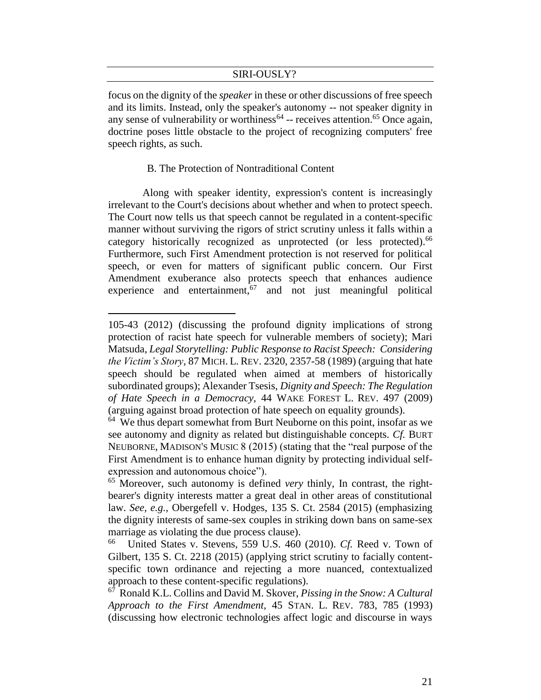focus on the dignity of the *speaker* in these or other discussions of free speech and its limits. Instead, only the speaker's autonomy -- not speaker dignity in any sense of vulnerability or worthiness<sup> $64$ </sup> -- receives attention.<sup>65</sup> Once again, doctrine poses little obstacle to the project of recognizing computers' free speech rights, as such.

#### B. The Protection of Nontraditional Content

 $\overline{a}$ 

Along with speaker identity, expression's content is increasingly irrelevant to the Court's decisions about whether and when to protect speech. The Court now tells us that speech cannot be regulated in a content-specific manner without surviving the rigors of strict scrutiny unless it falls within a category historically recognized as unprotected (or less protected).<sup>66</sup> Furthermore, such First Amendment protection is not reserved for political speech, or even for matters of significant public concern. Our First Amendment exuberance also protects speech that enhances audience experience and entertainment,  $67$  and not just meaningful political

<sup>105-43 (2012) (</sup>discussing the profound dignity implications of strong protection of racist hate speech for vulnerable members of society); Mari Matsuda, *Legal Storytelling: Public Response to Racist Speech: Considering the Victim's Story*, 87 MICH. L. REV. 2320, 2357-58 (1989) (arguing that hate speech should be regulated when aimed at members of historically subordinated groups); Alexander Tsesis, *Dignity and Speech: The Regulation of Hate Speech in a Democracy,* 44 WAKE FOREST L. REV. 497 (2009) (arguing against broad protection of hate speech on equality grounds).

<sup>&</sup>lt;sup>64</sup> We thus depart somewhat from Burt Neuborne on this point, insofar as we see autonomy and dignity as related but distinguishable concepts. *Cf.* BURT NEUBORNE, MADISON'S MUSIC 8 (2015) (stating that the "real purpose of the First Amendment is to enhance human dignity by protecting individual selfexpression and autonomous choice").

<sup>65</sup> Moreover, such autonomy is defined *very* thinly, In contrast, the rightbearer's dignity interests matter a great deal in other areas of constitutional law. *See, e.g.,* Obergefell v. Hodges, 135 S. Ct. 2584 (2015) (emphasizing the dignity interests of same-sex couples in striking down bans on same-sex marriage as violating the due process clause).

<sup>66</sup> United States v. Stevens, 559 U.S. 460 (2010). *Cf.* Reed v. Town of Gilbert, 135 S. Ct. 2218 (2015) (applying strict scrutiny to facially contentspecific town ordinance and rejecting a more nuanced, contextualized approach to these content-specific regulations).

<sup>67</sup> Ronald K.L. Collins and David M. Skover, *Pissing in the Snow: A Cultural Approach to the First Amendment,* 45 STAN. L. REV. 783, 785 (1993) (discussing how electronic technologies affect logic and discourse in ways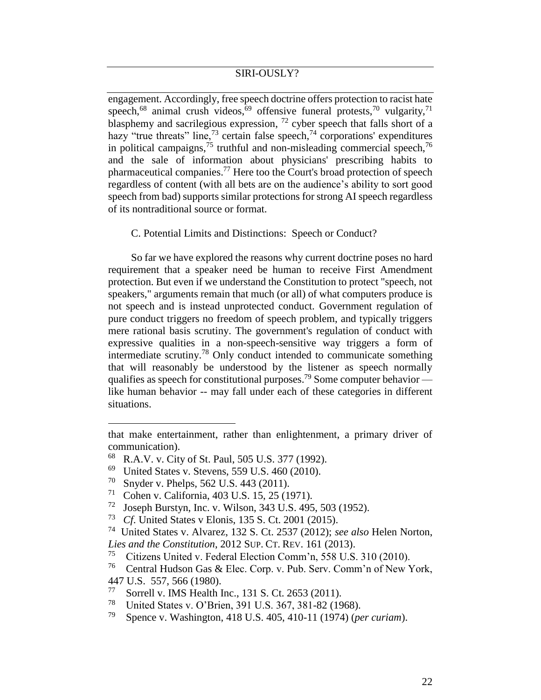engagement. Accordingly, free speech doctrine offers protection to racist hate speech,<sup>68</sup> animal crush videos,<sup>69</sup> offensive funeral protests,<sup>70</sup> vulgarity,<sup>71</sup> blasphemy and sacrilegious expression,  $72$  cyber speech that falls short of a hazy "true threats" line,<sup>73</sup> certain false speech,<sup>74</sup> corporations' expenditures in political campaigns,<sup>75</sup> truthful and non-misleading commercial speech,<sup>76</sup> and the sale of information about physicians' prescribing habits to pharmaceutical companies.<sup>77</sup> Here too the Court's broad protection of speech regardless of content (with all bets are on the audience's ability to sort good speech from bad) supports similar protections for strong AI speech regardless of its nontraditional source or format.

C. Potential Limits and Distinctions: Speech or Conduct?

So far we have explored the reasons why current doctrine poses no hard requirement that a speaker need be human to receive First Amendment protection. But even if we understand the Constitution to protect "speech, not speakers," arguments remain that much (or all) of what computers produce is not speech and is instead unprotected conduct. Government regulation of pure conduct triggers no freedom of speech problem, and typically triggers mere rational basis scrutiny. The government's regulation of conduct with expressive qualities in a non-speech-sensitive way triggers a form of intermediate scrutiny. <sup>78</sup> Only conduct intended to communicate something that will reasonably be understood by the listener as speech normally qualifies as speech for constitutional purposes.<sup>79</sup> Some computer behavior like human behavior -- may fall under each of these categories in different situations.

- 69 United States v. Stevens, 559 U.S. 460 (2010).
- 70 Snyder v. Phelps, 562 U.S. 443 (2011).

- 71 Cohen v. California, 403 U.S. 15, 25 (1971).
- 72 Joseph Burstyn, Inc. v. Wilson, 343 U.S. 495, 503 (1952).
- 73 *Cf*. United States v Elonis, 135 S. Ct. 2001 (2015).

- 77 Sorrell v. IMS Health Inc., 131 S. Ct. 2653 (2011).
- 78 United States v. O'Brien, 391 U.S. 367, 381-82 (1968).
- 79 Spence v. Washington, 418 U.S. 405, 410-11 (1974) (*per curiam*).

that make entertainment, rather than enlightenment, a primary driver of communication).

<sup>68</sup> R.A.V. v. City of St. Paul, 505 U.S. 377 (1992).

<sup>74</sup> United States v. Alvarez, 132 S. Ct. 2537 (2012); *see also* Helen Norton, *Lies and the Constitution*, 2012 SUP. CT. REV. 161 (2013).

<sup>75</sup> Citizens United v. Federal Election Comm'n, 558 U.S. 310 (2010).

<sup>76</sup> Central Hudson Gas & Elec. Corp. v. Pub. Serv. Comm'n of New York, 447 U.S. 557, 566 (1980).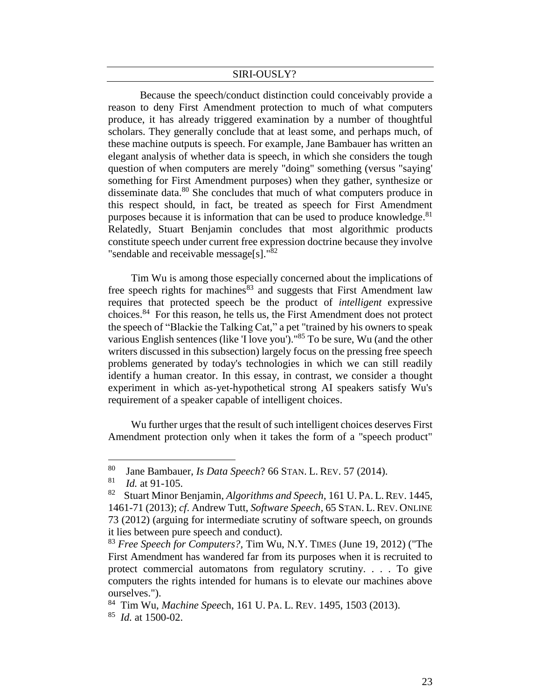Because the speech/conduct distinction could conceivably provide a reason to deny First Amendment protection to much of what computers produce, it has already triggered examination by a number of thoughtful scholars. They generally conclude that at least some, and perhaps much, of these machine outputs is speech. For example, Jane Bambauer has written an elegant analysis of whether data is speech, in which she considers the tough question of when computers are merely "doing" something (versus "saying' something for First Amendment purposes) when they gather, synthesize or disseminate data.<sup>80</sup> She concludes that much of what computers produce in this respect should, in fact, be treated as speech for First Amendment purposes because it is information that can be used to produce knowledge.<sup>81</sup> Relatedly, Stuart Benjamin concludes that most algorithmic products constitute speech under current free expression doctrine because they involve "sendable and receivable message[s]."82

Tim Wu is among those especially concerned about the implications of free speech rights for machines $83$  and suggests that First Amendment law requires that protected speech be the product of *intelligent* expressive choices.<sup>84</sup> For this reason, he tells us, the First Amendment does not protect the speech of "Blackie the Talking Cat," a pet "trained by his owners to speak various English sentences (like 'I love you')."<sup>85</sup> To be sure, Wu (and the other writers discussed in this subsection) largely focus on the pressing free speech problems generated by today's technologies in which we can still readily identify a human creator. In this essay, in contrast, we consider a thought experiment in which as-yet-hypothetical strong AI speakers satisfy Wu's requirement of a speaker capable of intelligent choices.

Wu further urges that the result of such intelligent choices deserves First Amendment protection only when it takes the form of a "speech product"

<sup>80</sup> Jane Bambauer, *Is Data Speech*? 66 STAN. L. REV. 57 (2014).

<sup>81</sup> *Id.* at 91-105.

<sup>82</sup> Stuart Minor Benjamin, *Algorithms and Speech*, 161 U. PA. L.REV. 1445, 1461-71 (2013); *cf*. Andrew Tutt, *Software Speech*, 65 STAN. L. REV. ONLINE 73 (2012) (arguing for intermediate scrutiny of software speech, on grounds it lies between pure speech and conduct).

<sup>83</sup> *Free Speech for Computers?,* Tim Wu, N.Y. TIMES (June 19, 2012) ("The First Amendment has wandered far from its purposes when it is recruited to protect commercial automatons from regulatory scrutiny. . . . To give computers the rights intended for humans is to elevate our machines above ourselves.").

<sup>84</sup> Tim Wu, *Machine Spee*ch, 161 U. PA. L. REV. 1495, 1503 (2013). 85 *Id.* at 1500-02.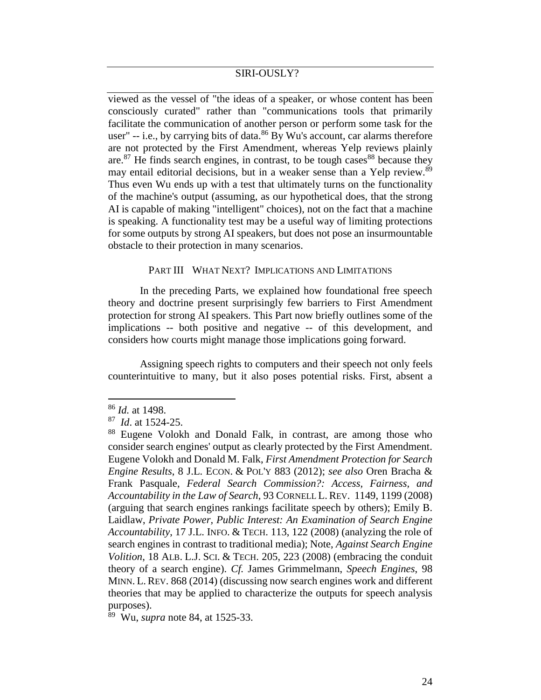viewed as the vessel of "the ideas of a speaker, or whose content has been consciously curated" rather than "communications tools that primarily facilitate the communication of another person or perform some task for the user" -- i.e., by carrying bits of data.<sup>86</sup> By Wu's account, car alarms therefore are not protected by the First Amendment, whereas Yelp reviews plainly are. $87$  He finds search engines, in contrast, to be tough cases  $88$  because they may entail editorial decisions, but in a weaker sense than a Yelp review.<sup>89</sup> Thus even Wu ends up with a test that ultimately turns on the functionality of the machine's output (assuming, as our hypothetical does, that the strong AI is capable of making "intelligent" choices), not on the fact that a machine is speaking. A functionality test may be a useful way of limiting protections for some outputs by strong AI speakers, but does not pose an insurmountable obstacle to their protection in many scenarios.

#### PART III WHAT NEXT? IMPLICATIONS AND LIMITATIONS

In the preceding Parts, we explained how foundational free speech theory and doctrine present surprisingly few barriers to First Amendment protection for strong AI speakers. This Part now briefly outlines some of the implications -- both positive and negative -- of this development, and considers how courts might manage those implications going forward.

Assigning speech rights to computers and their speech not only feels counterintuitive to many, but it also poses potential risks. First, absent a

<sup>86</sup> *Id.* at 1498.

<sup>87</sup> *Id*. at 1524-25.

<sup>88</sup> Eugene Volokh and Donald Falk, in contrast, are among those who consider search engines' output as clearly protected by the First Amendment. Eugene Volokh and Donald M. Falk, *First Amendment Protection for Search Engine Results*, 8 J.L. ECON. & POL'Y 883 (2012); *see also* Oren Bracha & Frank Pasquale, *Federal Search Commission?: Access, Fairness, and Accountability in the Law of Search*, 93 CORNELL L. REV. 1149, 1199 (2008) (arguing that search engines rankings facilitate speech by others); Emily B. Laidlaw, *Private Power, Public Interest: An Examination of Search Engine Accountability*, 17 J.L. INFO. & TECH. 113, 122 (2008) (analyzing the role of search engines in contrast to traditional media); Note, *Against Search Engine Volition*, 18 ALB. L.J. SCI. & TECH. 205, 223 (2008) (embracing the conduit theory of a search engine). *Cf.* James Grimmelmann, *Speech Engines*, 98 MINN. L. REV. 868 (2014) (discussing now search engines work and different theories that may be applied to characterize the outputs for speech analysis purposes).

<sup>89</sup> Wu, *supra* note 84, at 1525-33.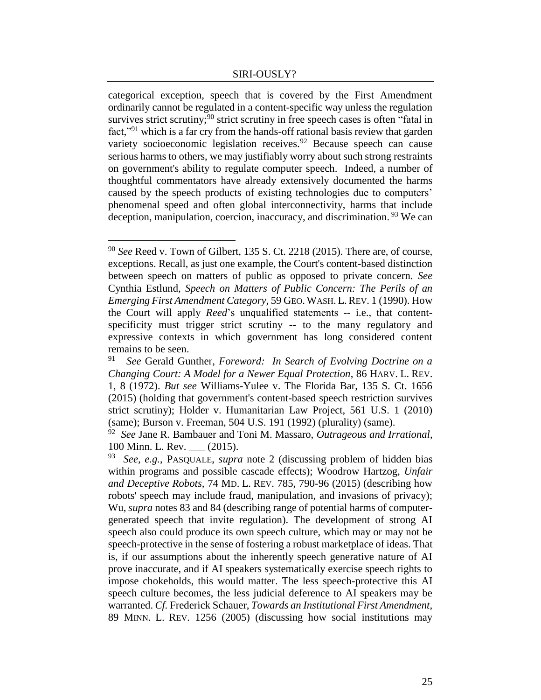categorical exception, speech that is covered by the First Amendment ordinarily cannot be regulated in a content-specific way unless the regulation survives strict scrutiny;<sup>90</sup> strict scrutiny in free speech cases is often "fatal in fact,"<sup>91</sup> which is a far cry from the hands-off rational basis review that garden variety socioeconomic legislation receives. <sup>92</sup> Because speech can cause serious harms to others, we may justifiably worry about such strong restraints on government's ability to regulate computer speech. Indeed, a number of thoughtful commentators have already extensively documented the harms caused by the speech products of existing technologies due to computers' phenomenal speed and often global interconnectivity, harms that include deception, manipulation, coercion, inaccuracy, and discrimination.<sup>93</sup> We can

<sup>90</sup> *See* Reed v. Town of Gilbert, 135 S. Ct. 2218 (2015). There are, of course, exceptions. Recall, as just one example, the Court's content-based distinction between speech on matters of public as opposed to private concern. *See*  Cynthia Estlund, *Speech on Matters of Public Concern: The Perils of an Emerging First Amendment Category,* 59 GEO. WASH. L.REV. 1 (1990). How the Court will apply *Reed*'s unqualified statements -- i.e., that contentspecificity must trigger strict scrutiny -- to the many regulatory and expressive contexts in which government has long considered content remains to be seen.

<sup>91</sup> *See* Gerald Gunther, *Foreword: In Search of Evolving Doctrine on a Changing Court: A Model for a Newer Equal Protection*, 86 HARV. L. REV. 1, 8 (1972). *But see* Williams-Yulee v. The Florida Bar, 135 S. Ct. 1656 (2015) (holding that government's content-based speech restriction survives strict scrutiny); Holder v. Humanitarian Law Project, 561 U.S. 1 (2010) (same); Burson v. Freeman, 504 U.S. 191 (1992) (plurality) (same).

<sup>92</sup> *See* Jane R. Bambauer and Toni M. Massaro, *Outrageous and Irrational*, 100 Minn. L. Rev. (2015).

<sup>93</sup> *See, e.g.*, PASQUALE, *supra* note 2 (discussing problem of hidden bias within programs and possible cascade effects); Woodrow Hartzog, *Unfair and Deceptive Robots,* 74 MD. L. REV. 785, 790-96 (2015) (describing how robots' speech may include fraud, manipulation, and invasions of privacy); Wu, *supra* notes 83 and 84 (describing range of potential harms of computergenerated speech that invite regulation). The development of strong AI speech also could produce its own speech culture, which may or may not be speech-protective in the sense of fostering a robust marketplace of ideas. That is, if our assumptions about the inherently speech generative nature of AI prove inaccurate, and if AI speakers systematically exercise speech rights to impose chokeholds, this would matter. The less speech-protective this AI speech culture becomes, the less judicial deference to AI speakers may be warranted. *Cf.* Frederick Schauer, *Towards an Institutional First Amendment,* 89 MINN. L. REV. 1256 (2005) (discussing how social institutions may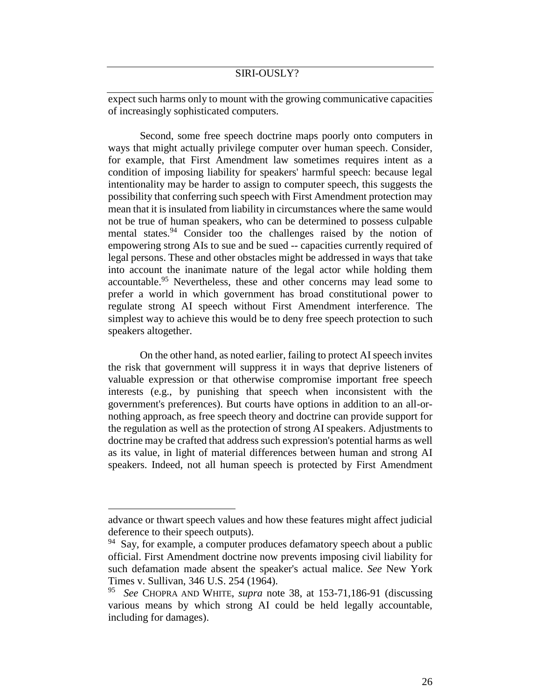expect such harms only to mount with the growing communicative capacities of increasingly sophisticated computers.

Second, some free speech doctrine maps poorly onto computers in ways that might actually privilege computer over human speech. Consider, for example, that First Amendment law sometimes requires intent as a condition of imposing liability for speakers' harmful speech: because legal intentionality may be harder to assign to computer speech, this suggests the possibility that conferring such speech with First Amendment protection may mean that it is insulated from liability in circumstances where the same would not be true of human speakers, who can be determined to possess culpable mental states.<sup>94</sup> Consider too the challenges raised by the notion of empowering strong AIs to sue and be sued -- capacities currently required of legal persons. These and other obstacles might be addressed in ways that take into account the inanimate nature of the legal actor while holding them accountable.<sup>95</sup> Nevertheless, these and other concerns may lead some to prefer a world in which government has broad constitutional power to regulate strong AI speech without First Amendment interference. The simplest way to achieve this would be to deny free speech protection to such speakers altogether.

On the other hand, as noted earlier, failing to protect AIspeech invites the risk that government will suppress it in ways that deprive listeners of valuable expression or that otherwise compromise important free speech interests (e.g., by punishing that speech when inconsistent with the government's preferences). But courts have options in addition to an all-ornothing approach, as free speech theory and doctrine can provide support for the regulation as well as the protection of strong AI speakers. Adjustments to doctrine may be crafted that address such expression's potential harms as well as its value, in light of material differences between human and strong AI speakers. Indeed, not all human speech is protected by First Amendment

advance or thwart speech values and how these features might affect judicial deference to their speech outputs).

<sup>&</sup>lt;sup>94</sup> Say, for example, a computer produces defamatory speech about a public official. First Amendment doctrine now prevents imposing civil liability for such defamation made absent the speaker's actual malice. *See* New York Times v. Sullivan, 346 U.S. 254 (1964).

<sup>95</sup> *See* CHOPRA AND WHITE, *supra* note 38, at 153-71,186-91 (discussing various means by which strong AI could be held legally accountable, including for damages).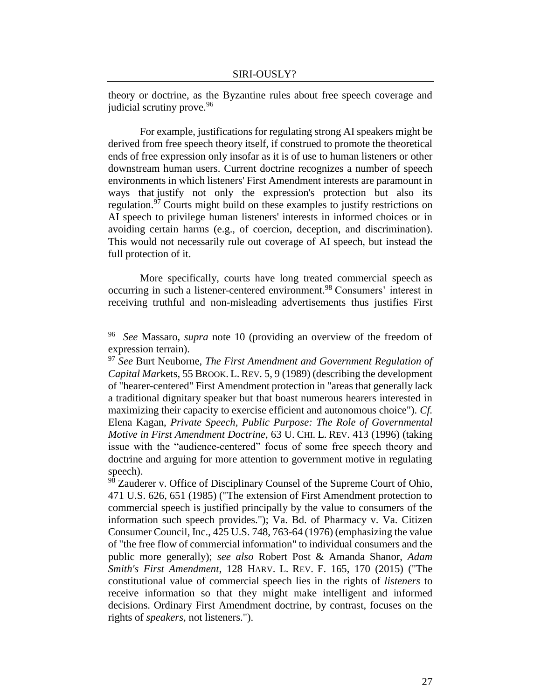theory or doctrine, as the Byzantine rules about free speech coverage and judicial scrutiny prove.<sup>96</sup>

For example, justifications for regulating strong AI speakers might be derived from free speech theory itself, if construed to promote the theoretical ends of free expression only insofar as it is of use to human listeners or other downstream human users. Current doctrine recognizes a number of speech environments in which listeners' First Amendment interests are paramount in ways that justify not only the expression's protection but also its regulation.<sup>97</sup> Courts might build on these examples to justify restrictions on AI speech to privilege human listeners' interests in informed choices or in avoiding certain harms (e.g., of coercion, deception, and discrimination). This would not necessarily rule out coverage of AI speech, but instead the full protection of it.

More specifically, courts have long treated commercial speech as occurring in such a listener-centered environment.<sup>98</sup> Consumers' interest in receiving truthful and non-misleading advertisements thus justifies First

<sup>96</sup> *See* Massaro, *supra* note 10 (providing an overview of the freedom of expression terrain).

<sup>97</sup> *See* Burt Neuborne, *The First Amendment and Government Regulation of Capital Mar*kets, 55 BROOK. L. REV. 5, 9 (1989) (describing the development of "hearer-centered" First Amendment protection in "areas that generally lack a traditional dignitary speaker but that boast numerous hearers interested in maximizing their capacity to exercise efficient and autonomous choice"). *Cf.* Elena Kagan, *Private Speech, Public Purpose: The Role of Governmental Motive in First Amendment Doctrine*, 63 U. CHI. L. REV. 413 (1996) (taking issue with the "audience-centered" focus of some free speech theory and doctrine and arguing for more attention to government motive in regulating speech).

<sup>98</sup> Zauderer v. Office of Disciplinary Counsel of the Supreme Court of Ohio, 471 U.S. 626, 651 (1985) ("The extension of First Amendment protection to commercial speech is justified principally by the value to consumers of the information such speech provides."); Va. Bd. of Pharmacy v. Va. Citizen Consumer Council, Inc., 425 U.S. 748, 763-64 (1976) (emphasizing the value of "the free flow of commercial information" to individual consumers and the public more generally); *see also* Robert Post & Amanda Shanor, *Adam Smith's First Amendment*, 128 HARV. L. REV. F. 165, 170 (2015) ("The constitutional value of commercial speech lies in the rights of *listeners* to receive information so that they might make intelligent and informed decisions. Ordinary First Amendment doctrine, by contrast, focuses on the rights of *speakers,* not listeners.").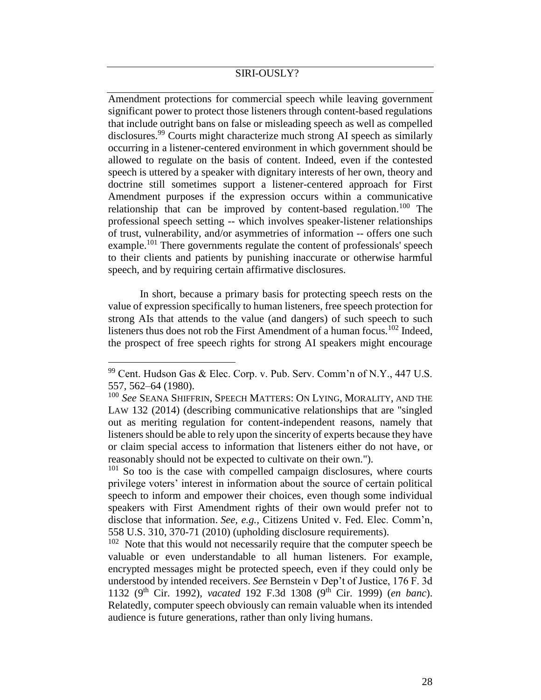Amendment protections for commercial speech while leaving government significant power to protect those listeners through content-based regulations that include outright bans on false or misleading speech as well as compelled disclosures.<sup>99</sup> Courts might characterize much strong AI speech as similarly occurring in a listener-centered environment in which government should be allowed to regulate on the basis of content. Indeed, even if the contested speech is uttered by a speaker with dignitary interests of her own, theory and doctrine still sometimes support a listener-centered approach for First Amendment purposes if the expression occurs within a communicative relationship that can be improved by content-based regulation.<sup>100</sup> The professional speech setting -- which involves speaker-listener relationships of trust, vulnerability, and/or asymmetries of information -- offers one such example.<sup>101</sup> There governments regulate the content of professionals' speech to their clients and patients by punishing inaccurate or otherwise harmful speech, and by requiring certain affirmative disclosures.

In short, because a primary basis for protecting speech rests on the value of expression specifically to human listeners, free speech protection for strong AIs that attends to the value (and dangers) of such speech to such listeners thus does not rob the First Amendment of a human focus*.* <sup>102</sup> Indeed, the prospect of free speech rights for strong AI speakers might encourage

 $\overline{a}$ 

 $101$  So too is the case with compelled campaign disclosures, where courts privilege voters' interest in information about the source of certain political speech to inform and empower their choices, even though some individual speakers with First Amendment rights of their own would prefer not to disclose that information. *See, e.g.,* Citizens United v. Fed. Elec. Comm'n, 558 U.S. 310, 370-71 (2010) (upholding disclosure requirements).

<sup>99</sup> Cent. Hudson Gas & Elec. Corp. v. Pub. Serv. Comm'n of N.Y., 447 U.S. 557, 562–64 (1980).

<sup>100</sup> *See* SEANA SHIFFRIN, SPEECH MATTERS: ON LYING, MORALITY, AND THE LAW 132 (2014) (describing communicative relationships that are "singled out as meriting regulation for content-independent reasons, namely that listeners should be able to rely upon the sincerity of experts because they have or claim special access to information that listeners either do not have, or reasonably should not be expected to cultivate on their own.").

 $102$  Note that this would not necessarily require that the computer speech be valuable or even understandable to all human listeners. For example, encrypted messages might be protected speech, even if they could only be understood by intended receivers. *See* Bernstein v Dep't of Justice, 176 F. 3d 1132 (9th Cir. 1992), *vacated* 192 F.3d 1308 (9th Cir. 1999) (*en banc*). Relatedly, computer speech obviously can remain valuable when its intended audience is future generations, rather than only living humans.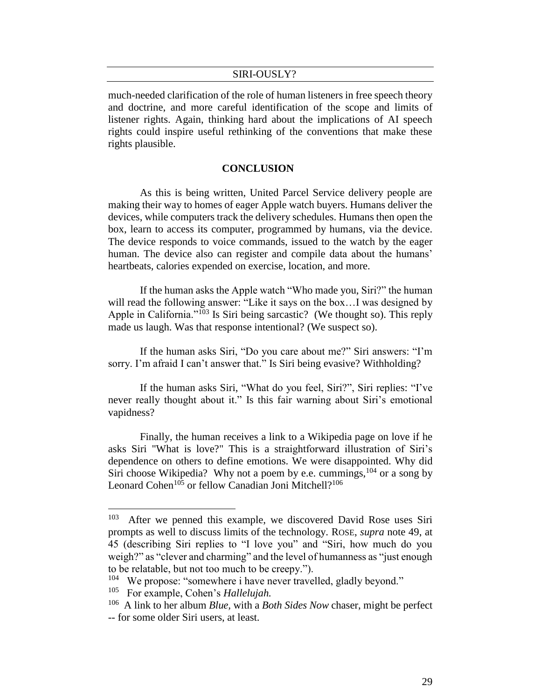much-needed clarification of the role of human listeners in free speech theory and doctrine, and more careful identification of the scope and limits of listener rights. Again, thinking hard about the implications of AI speech rights could inspire useful rethinking of the conventions that make these rights plausible.

#### **CONCLUSION**

As this is being written, United Parcel Service delivery people are making their way to homes of eager Apple watch buyers. Humans deliver the devices, while computers track the delivery schedules. Humans then open the box, learn to access its computer, programmed by humans, via the device. The device responds to voice commands, issued to the watch by the eager human. The device also can register and compile data about the humans' heartbeats, calories expended on exercise, location, and more.

If the human asks the Apple watch "Who made you, Siri?" the human will read the following answer: "Like it says on the box...I was designed by Apple in California."<sup>103</sup> Is Siri being sarcastic? (We thought so). This reply made us laugh. Was that response intentional? (We suspect so).

If the human asks Siri, "Do you care about me?" Siri answers: "I'm sorry. I'm afraid I can't answer that." Is Siri being evasive? Withholding?

If the human asks Siri, "What do you feel, Siri?", Siri replies: "I've never really thought about it." Is this fair warning about Siri's emotional vapidness?

Finally, the human receives a link to a Wikipedia page on love if he asks Siri "What is love?" This is a straightforward illustration of Siri's dependence on others to define emotions. We were disappointed. Why did Siri choose Wikipedia? Why not a poem by e.e. cummings,  $104$  or a song by Leonard Cohen<sup>105</sup> or fellow Canadian Joni Mitchell?<sup>106</sup>

<sup>103</sup> After we penned this example, we discovered David Rose uses Siri prompts as well to discuss limits of the technology. ROSE, *supra* note 49, at 45 (describing Siri replies to "I love you" and "Siri, how much do you weigh?" as "clever and charming" and the level of humanness as "just enough to be relatable, but not too much to be creepy.").

<sup>&</sup>lt;sup>104</sup> We propose: "somewhere i have never travelled, gladly beyond."

<sup>105</sup> For example, Cohen's *Hallelujah.*

<sup>106</sup> A link to her album *Blue,* with a *Both Sides Now* chaser, might be perfect -- for some older Siri users, at least.